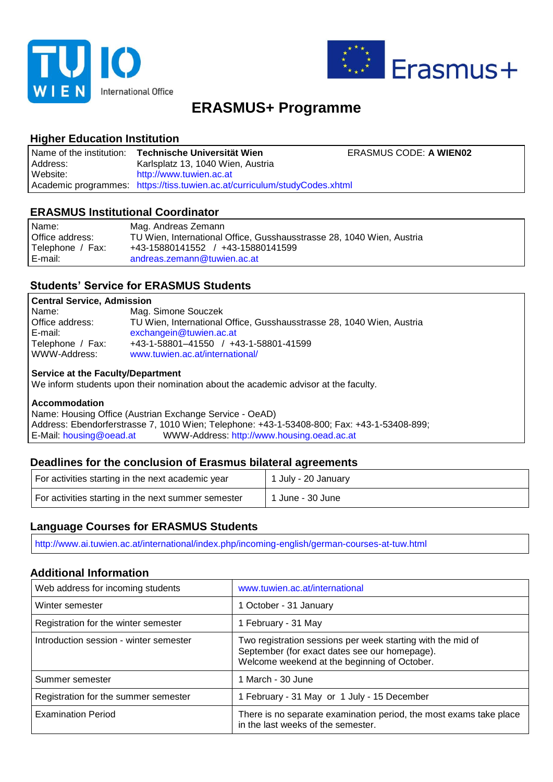



# **ERASMUS+ Programme**

# **Higher Education Institution**

| Name of the institution: | Technische Universität Wien                                                | <b>ERASMUS CODE: A WIEN02</b> |
|--------------------------|----------------------------------------------------------------------------|-------------------------------|
| Address:                 | Karlsplatz 13, 1040 Wien, Austria                                          |                               |
| Website:                 | http://www.tuwien.ac.at                                                    |                               |
|                          | Academic programmes: https://tiss.tuwien.ac.at/curriculum/studyCodes.xhtml |                               |

## **ERASMUS Institutional Coordinator**

| Name:            | Mag. Andreas Zemann                                                   |
|------------------|-----------------------------------------------------------------------|
| Office address:  | TU Wien, International Office, Gusshausstrasse 28, 1040 Wien, Austria |
| Telephone / Fax: | +43-15880141552 / +43-15880141599                                     |
| E-mail:          | andreas.zemann@tuwien.ac.at                                           |

## **Students' Service for ERASMUS Students**

## **Central Service, Admission**

| Name:            | Mag. Simone Souczek                                                   |
|------------------|-----------------------------------------------------------------------|
| Office address:  | TU Wien, International Office, Gusshausstrasse 28, 1040 Wien, Austria |
| E-mail:          | exchangein@tuwien.ac.at                                               |
| Telephone / Fax: | +43-1-58801-41550 / +43-1-58801-41599                                 |
| WWW-Address:     | www.tuwien.ac.at/international/                                       |

#### **Service at the Faculty/Department**

We inform students upon their nomination about the academic advisor at the faculty.

### **Accommodation**

Name: Housing Office (Austrian Exchange Service - OeAD) Address: Ebendorferstrasse 7, 1010 Wien; Telephone: +43-1-53408-800; Fax: +43-1-53408-899; E-Mail: [housing@oead.at](mailto:housing@oead.at) WWW-Address: [http://www.housing.oead.ac.at](http://www.housing.oead.ac.at/)

## **Deadlines for the conclusion of Erasmus bilateral agreements**

| For activities starting in the next academic year   | 1 July - 20 January |
|-----------------------------------------------------|---------------------|
| For activities starting in the next summer semester | 1 June - 30 June    |

## **Language Courses for ERASMUS Students**

http://www.ai.tuwien.ac.at/international/index.php/incoming-english/german-courses-at-tuw.html

## **Additional Information**

| Web address for incoming students      | www.tuwien.ac.at/international                                                                                                                               |
|----------------------------------------|--------------------------------------------------------------------------------------------------------------------------------------------------------------|
| Winter semester                        | 1 October - 31 January                                                                                                                                       |
| Registration for the winter semester   | 1 February - 31 May                                                                                                                                          |
| Introduction session - winter semester | Two registration sessions per week starting with the mid of<br>September (for exact dates see our homepage).<br>Welcome weekend at the beginning of October. |
| Summer semester                        | 1 March - 30 June                                                                                                                                            |
| Registration for the summer semester   | 1 February - 31 May or 1 July - 15 December                                                                                                                  |
| <b>Examination Period</b>              | There is no separate examination period, the most exams take place<br>in the last weeks of the semester.                                                     |